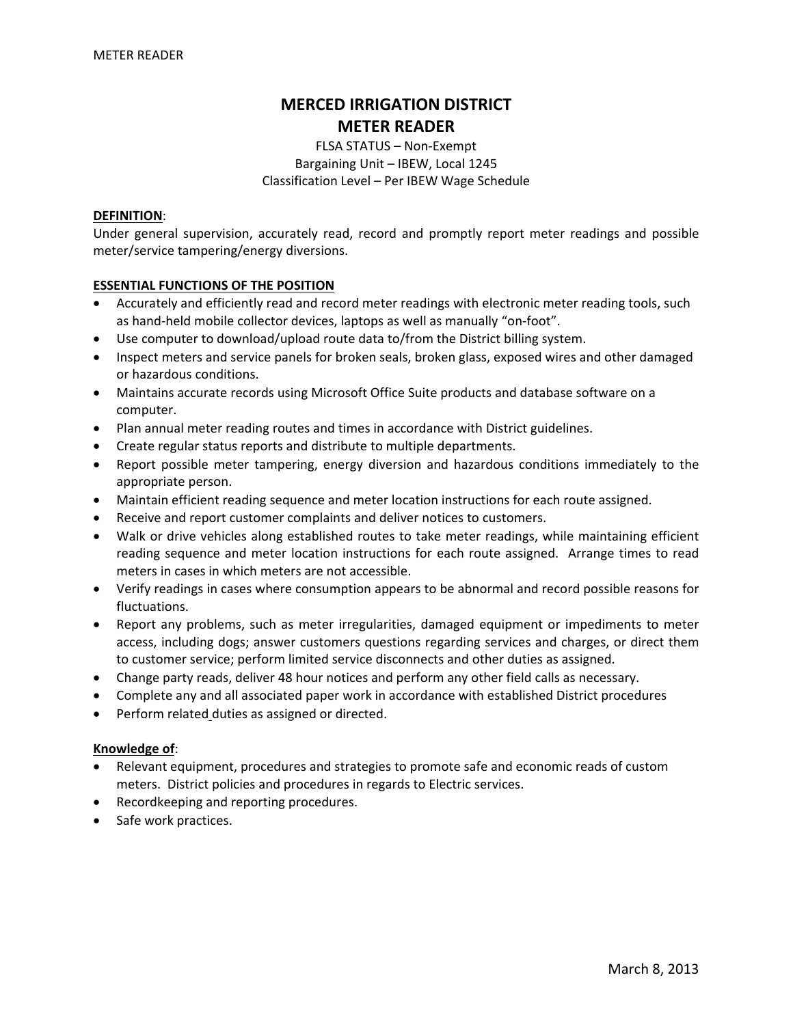# **MERCED IRRIGATION DISTRICT METER READER**

FLSA STATUS – Non‐Exempt Bargaining Unit – IBEW, Local 1245 Classification Level – Per IBEW Wage Schedule

#### **DEFINITION**:

Under general supervision, accurately read, record and promptly report meter readings and possible meter/service tampering/energy diversions.

## **ESSENTIAL FUNCTIONS OF THE POSITION**

- Accurately and efficiently read and record meter readings with electronic meter reading tools, such as hand‐held mobile collector devices, laptops as well as manually "on‐foot".
- Use computer to download/upload route data to/from the District billing system.
- Inspect meters and service panels for broken seals, broken glass, exposed wires and other damaged or hazardous conditions.
- Maintains accurate records using Microsoft Office Suite products and database software on a computer.
- Plan annual meter reading routes and times in accordance with District guidelines.
- Create regular status reports and distribute to multiple departments.
- Report possible meter tampering, energy diversion and hazardous conditions immediately to the appropriate person.
- Maintain efficient reading sequence and meter location instructions for each route assigned.
- Receive and report customer complaints and deliver notices to customers.
- Walk or drive vehicles along established routes to take meter readings, while maintaining efficient reading sequence and meter location instructions for each route assigned. Arrange times to read meters in cases in which meters are not accessible.
- Verify readings in cases where consumption appears to be abnormal and record possible reasons for fluctuations.
- Report any problems, such as meter irregularities, damaged equipment or impediments to meter access, including dogs; answer customers questions regarding services and charges, or direct them to customer service; perform limited service disconnects and other duties as assigned.
- Change party reads, deliver 48 hour notices and perform any other field calls as necessary.
- Complete any and all associated paper work in accordance with established District procedures
- Perform related duties as assigned or directed.

#### **Knowledge of**:

- Relevant equipment, procedures and strategies to promote safe and economic reads of custom meters. District policies and procedures in regards to Electric services.
- Recordkeeping and reporting procedures.
- Safe work practices.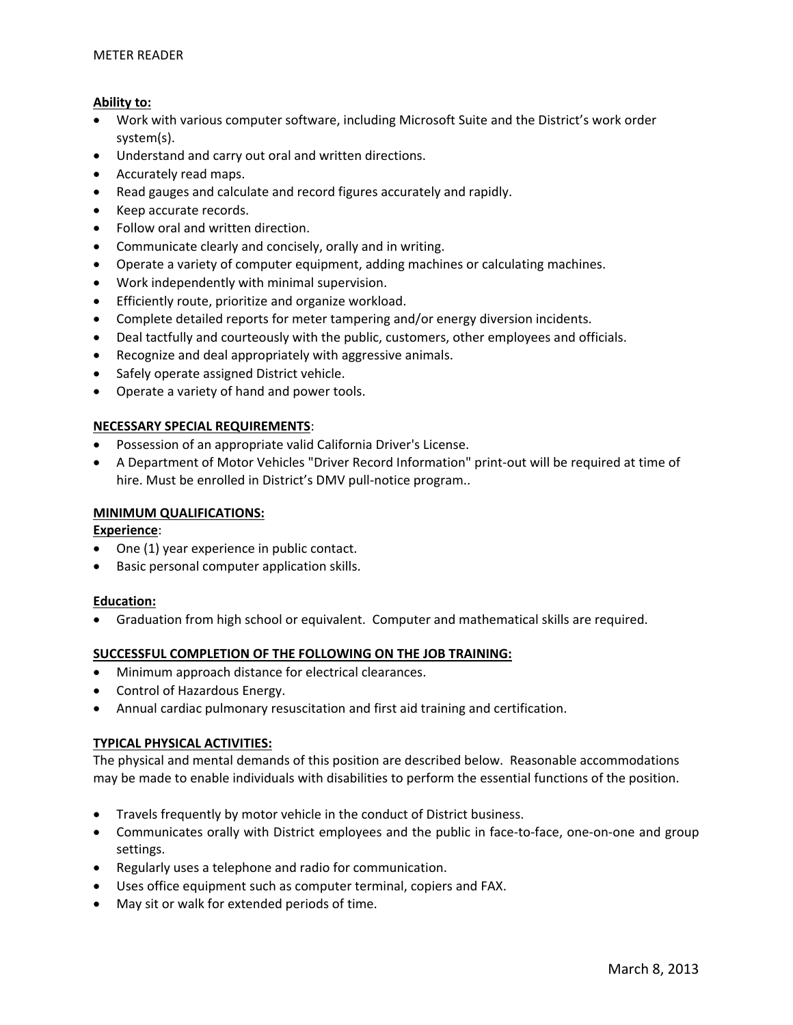# **Ability to:**

- Work with various computer software, including Microsoft Suite and the District's work order system(s).
- Understand and carry out oral and written directions.
- Accurately read maps.
- Read gauges and calculate and record figures accurately and rapidly.
- Keep accurate records.
- Follow oral and written direction.
- Communicate clearly and concisely, orally and in writing.
- Operate a variety of computer equipment, adding machines or calculating machines.
- Work independently with minimal supervision.
- Efficiently route, prioritize and organize workload.
- Complete detailed reports for meter tampering and/or energy diversion incidents.
- Deal tactfully and courteously with the public, customers, other employees and officials.
- Recognize and deal appropriately with aggressive animals.
- Safely operate assigned District vehicle.
- Operate a variety of hand and power tools.

# **NECESSARY SPECIAL REQUIREMENTS**:

- Possession of an appropriate valid California Driver's License.
- A Department of Motor Vehicles "Driver Record Information" print‐out will be required at time of hire. Must be enrolled in District's DMV pull-notice program..

# **MINIMUM QUALIFICATIONS:**

**Experience**:

- One (1) year experience in public contact.
- Basic personal computer application skills.

## **Education:**

• Graduation from high school or equivalent. Computer and mathematical skills are required.

## **SUCCESSFUL COMPLETION OF THE FOLLOWING ON THE JOB TRAINING:**

- Minimum approach distance for electrical clearances.
- Control of Hazardous Energy.
- Annual cardiac pulmonary resuscitation and first aid training and certification.

# **TYPICAL PHYSICAL ACTIVITIES:**

The physical and mental demands of this position are described below. Reasonable accommodations may be made to enable individuals with disabilities to perform the essential functions of the position.

- Travels frequently by motor vehicle in the conduct of District business.
- Communicates orally with District employees and the public in face-to-face, one-on-one and group settings.
- Regularly uses a telephone and radio for communication.
- Uses office equipment such as computer terminal, copiers and FAX.
- May sit or walk for extended periods of time.